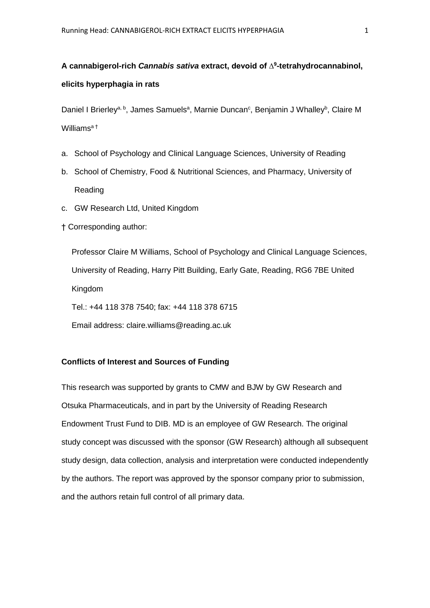# **A cannabigerol-rich** *Cannabis sativa* **extract, devoid of ∆<sup>9</sup> -tetrahydrocannabinol, elicits hyperphagia in rats**

Daniel I Brierley<sup>a, b</sup>, James Samuels<sup>a</sup>, Marnie Duncan<sup>c</sup>, Benjamin J Whalley<sup>b</sup>, Claire M Williams<sup>a†</sup>

- a. School of Psychology and Clinical Language Sciences, University of Reading
- b. School of Chemistry, Food & Nutritional Sciences, and Pharmacy, University of Reading
- c. GW Research Ltd, United Kingdom
- † Corresponding author:

Professor Claire M Williams, School of Psychology and Clinical Language Sciences, University of Reading, Harry Pitt Building, Early Gate, Reading, RG6 7BE United Kingdom

Tel.: +44 118 378 7540; fax: +44 118 378 6715

Email address: claire.williams@reading.ac.uk

## **Conflicts of Interest and Sources of Funding**

This research was supported by grants to CMW and BJW by GW Research and Otsuka Pharmaceuticals, and in part by the University of Reading Research Endowment Trust Fund to DIB. MD is an employee of GW Research. The original study concept was discussed with the sponsor (GW Research) although all subsequent study design, data collection, analysis and interpretation were conducted independently by the authors. The report was approved by the sponsor company prior to submission, and the authors retain full control of all primary data.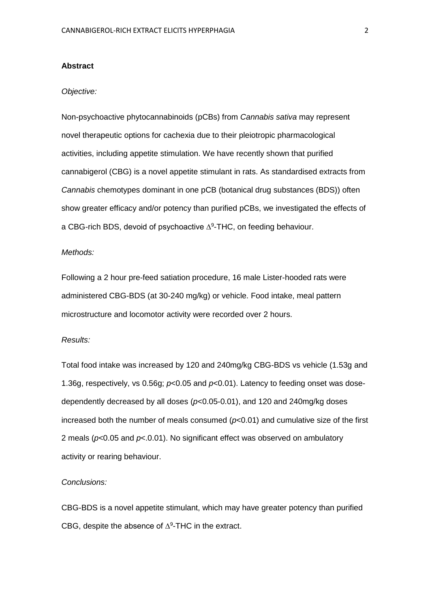#### **Abstract**

#### *Objective:*

Non-psychoactive phytocannabinoids (pCBs) from *Cannabis sativa* may represent novel therapeutic options for cachexia due to their pleiotropic pharmacological activities, including appetite stimulation. We have recently shown that purified cannabigerol (CBG) is a novel appetite stimulant in rats. As standardised extracts from *Cannabis* chemotypes dominant in one pCB (botanical drug substances (BDS)) often show greater efficacy and/or potency than purified pCBs, we investigated the effects of a CBG-rich BDS, devoid of psychoactive  $\Delta^9$ -THC, on feeding behaviour.

#### *Methods:*

Following a 2 hour pre-feed satiation procedure, 16 male Lister-hooded rats were administered CBG-BDS (at 30-240 mg/kg) or vehicle. Food intake, meal pattern microstructure and locomotor activity were recorded over 2 hours.

#### *Results:*

Total food intake was increased by 120 and 240mg/kg CBG-BDS vs vehicle (1.53g and 1.36g, respectively, vs 0.56g; *p*<0.05 and *p*<0.01). Latency to feeding onset was dosedependently decreased by all doses (*p*<0.05-0.01), and 120 and 240mg/kg doses increased both the number of meals consumed (*p*<0.01) and cumulative size of the first 2 meals (*p*<0.05 and *p*<.0.01). No significant effect was observed on ambulatory activity or rearing behaviour.

#### *Conclusions:*

CBG-BDS is a novel appetite stimulant, which may have greater potency than purified CBG, despite the absence of  $\Delta^9$ -THC in the extract.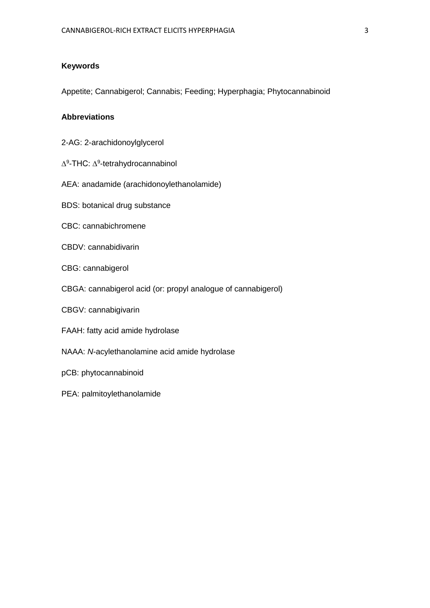## **Keywords**

Appetite; Cannabigerol; Cannabis; Feeding; Hyperphagia; Phytocannabinoid

## **Abbreviations**

- 2-AG: 2-arachidonoylglycerol
- ∆<sup>9</sup>-THC: ∆<sup>9</sup>-tetrahydrocannabinol
- AEA: anadamide (arachidonoylethanolamide)
- BDS: botanical drug substance
- CBC: cannabichromene
- CBDV: cannabidivarin
- CBG: cannabigerol
- CBGA: cannabigerol acid (or: propyl analogue of cannabigerol)
- CBGV: cannabigivarin
- FAAH: fatty acid amide hydrolase
- NAAA: *N*-acylethanolamine acid amide hydrolase
- pCB: phytocannabinoid
- PEA: palmitoylethanolamide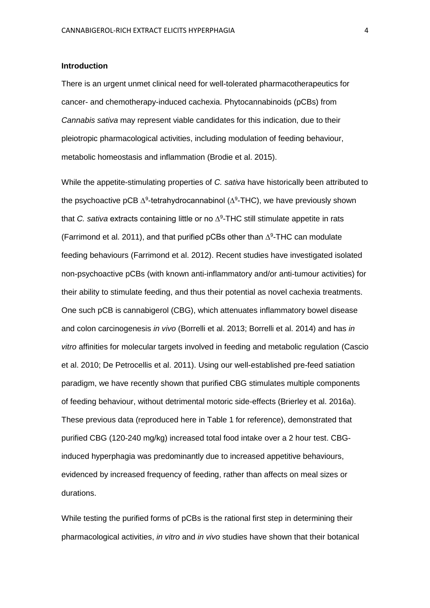#### **Introduction**

There is an urgent unmet clinical need for well-tolerated pharmacotherapeutics for cancer- and chemotherapy-induced cachexia. Phytocannabinoids (pCBs) from *Cannabis sativa* may represent viable candidates for this indication, due to their pleiotropic pharmacological activities, including modulation of feeding behaviour, metabolic homeostasis and inflammation (Brodie et al. 2015).

While the appetite-stimulating properties of *C. sativa* have historically been attributed to the psychoactive pCB  $\Delta^9$ -tetrahydrocannabinol ( $\Delta^9$ -THC), we have previously shown that *C. sativa* extracts containing little or no ∆<sup>9</sup> -THC still stimulate appetite in rats (Farrimond et al. 2011), and that purified pCBs other than  $\Delta^9$ -THC can modulate feeding behaviours (Farrimond et al. 2012). Recent studies have investigated isolated non-psychoactive pCBs (with known anti-inflammatory and/or anti-tumour activities) for their ability to stimulate feeding, and thus their potential as novel cachexia treatments. One such pCB is cannabigerol (CBG), which attenuates inflammatory bowel disease and colon carcinogenesis *in vivo* (Borrelli et al. 2013; Borrelli et al. 2014) and has *in vitro* affinities for molecular targets involved in feeding and metabolic regulation (Cascio et al. 2010; De Petrocellis et al. 2011). Using our well-established pre-feed satiation paradigm, we have recently shown that purified CBG stimulates multiple components of feeding behaviour, without detrimental motoric side-effects (Brierley et al. 2016a). These previous data (reproduced here in Table 1 for reference), demonstrated that purified CBG (120-240 mg/kg) increased total food intake over a 2 hour test. CBGinduced hyperphagia was predominantly due to increased appetitive behaviours, evidenced by increased frequency of feeding, rather than affects on meal sizes or durations.

While testing the purified forms of pCBs is the rational first step in determining their pharmacological activities, *in vitro* and *in vivo* studies have shown that their botanical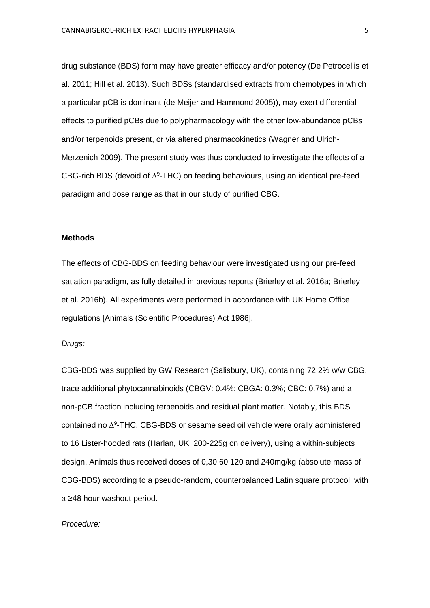drug substance (BDS) form may have greater efficacy and/or potency (De Petrocellis et al. 2011; Hill et al. 2013). Such BDSs (standardised extracts from chemotypes in which a particular pCB is dominant (de Meijer and Hammond 2005)), may exert differential effects to purified pCBs due to polypharmacology with the other low-abundance pCBs and/or terpenoids present, or via altered pharmacokinetics (Wagner and Ulrich-Merzenich 2009). The present study was thus conducted to investigate the effects of a CBG-rich BDS (devoid of  $\Delta^9$ -THC) on feeding behaviours, using an identical pre-feed paradigm and dose range as that in our study of purified CBG.

#### **Methods**

The effects of CBG-BDS on feeding behaviour were investigated using our pre-feed satiation paradigm, as fully detailed in previous reports (Brierley et al. 2016a; Brierley et al. 2016b). All experiments were performed in accordance with UK Home Office regulations [Animals (Scientific Procedures) Act 1986].

#### *Drugs:*

CBG-BDS was supplied by GW Research (Salisbury, UK), containing 72.2% w/w CBG, trace additional phytocannabinoids (CBGV: 0.4%; CBGA: 0.3%; CBC: 0.7%) and a non-pCB fraction including terpenoids and residual plant matter. Notably, this BDS contained no ∆<sup>9</sup> -THC. CBG-BDS or sesame seed oil vehicle were orally administered to 16 Lister-hooded rats (Harlan, UK; 200-225g on delivery), using a within-subjects design. Animals thus received doses of 0,30,60,120 and 240mg/kg (absolute mass of CBG-BDS) according to a pseudo-random, counterbalanced Latin square protocol, with a ≥48 hour washout period.

#### *Procedure:*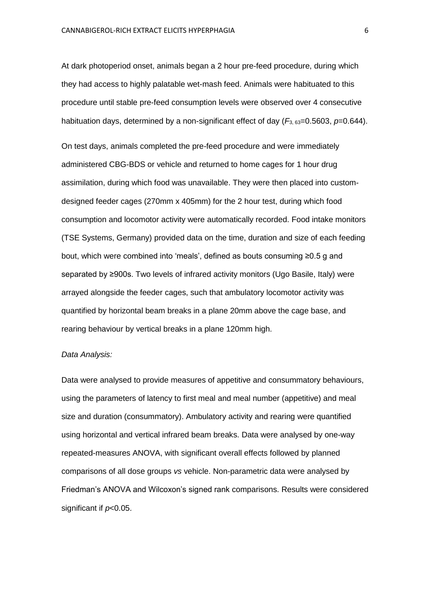At dark photoperiod onset, animals began a 2 hour pre-feed procedure, during which they had access to highly palatable wet-mash feed. Animals were habituated to this procedure until stable pre-feed consumption levels were observed over 4 consecutive habituation days, determined by a non-significant effect of day  $(F_{3.63}=0.5603, p=0.644)$ .

On test days, animals completed the pre-feed procedure and were immediately administered CBG-BDS or vehicle and returned to home cages for 1 hour drug assimilation, during which food was unavailable. They were then placed into customdesigned feeder cages (270mm x 405mm) for the 2 hour test, during which food consumption and locomotor activity were automatically recorded. Food intake monitors (TSE Systems, Germany) provided data on the time, duration and size of each feeding bout, which were combined into 'meals', defined as bouts consuming ≥0.5 g and separated by ≥900s. Two levels of infrared activity monitors (Ugo Basile, Italy) were arrayed alongside the feeder cages, such that ambulatory locomotor activity was quantified by horizontal beam breaks in a plane 20mm above the cage base, and rearing behaviour by vertical breaks in a plane 120mm high.

#### *Data Analysis:*

Data were analysed to provide measures of appetitive and consummatory behaviours, using the parameters of latency to first meal and meal number (appetitive) and meal size and duration (consummatory). Ambulatory activity and rearing were quantified using horizontal and vertical infrared beam breaks. Data were analysed by one-way repeated-measures ANOVA, with significant overall effects followed by planned comparisons of all dose groups *vs* vehicle. Non-parametric data were analysed by Friedman's ANOVA and Wilcoxon's signed rank comparisons. Results were considered significant if *p*<0.05.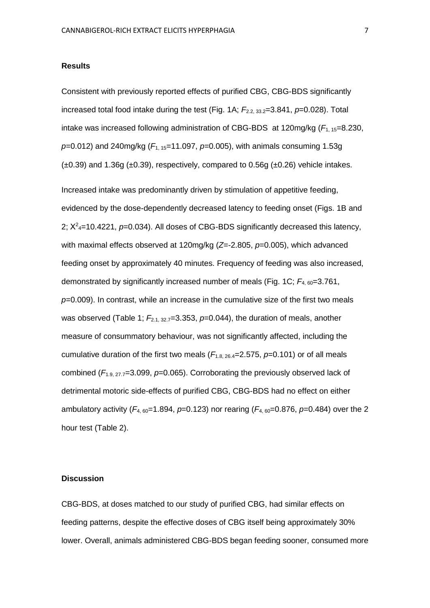#### **Results**

Consistent with previously reported effects of purified CBG, CBG-BDS significantly increased total food intake during the test (Fig. 1A;  $F_{2.2, 33.2}$ =3.841,  $p=0.028$ ). Total intake was increased following administration of CBG-BDS at 120mg/kg ( $F_{1, 15}$ =8.230, *p*=0.012) and 240mg/kg (*F*1, 15=11.097, *p*=0.005), with animals consuming 1.53g  $(\pm 0.39)$  and 1.36g  $(\pm 0.39)$ , respectively, compared to 0.56g  $(\pm 0.26)$  vehicle intakes.

Increased intake was predominantly driven by stimulation of appetitive feeding, evidenced by the dose-dependently decreased latency to feeding onset (Figs. 1B and 2;  $X^2$ <sub>4</sub>=10.4221,  $p$ =0.034). All doses of CBG-BDS significantly decreased this latency, with maximal effects observed at 120mg/kg (*Z*=-2.805, *p*=0.005), which advanced feeding onset by approximately 40 minutes. Frequency of feeding was also increased, demonstrated by significantly increased number of meals (Fig. 1C; *F*4, 60=3.761, *p*=0.009). In contrast, while an increase in the cumulative size of the first two meals was observed (Table 1; *F*2.1, 32.7=3.353, *p*=0.044), the duration of meals, another measure of consummatory behaviour, was not significantly affected, including the cumulative duration of the first two meals ( $F_{1.8, 26, 4}$ =2.575, p=0.101) or of all meals combined (*F*1.9, 27.7=3.099, *p*=0.065). Corroborating the previously observed lack of detrimental motoric side-effects of purified CBG, CBG-BDS had no effect on either ambulatory activity ( $F_{4,60}$ =1.894,  $p=0.123$ ) nor rearing ( $F_{4,60}$ =0.876,  $p=0.484$ ) over the 2 hour test (Table 2).

#### **Discussion**

CBG-BDS, at doses matched to our study of purified CBG, had similar effects on feeding patterns, despite the effective doses of CBG itself being approximately 30% lower. Overall, animals administered CBG-BDS began feeding sooner, consumed more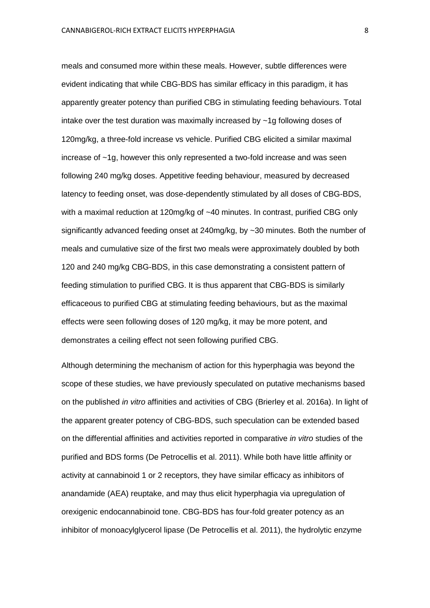meals and consumed more within these meals. However, subtle differences were evident indicating that while CBG-BDS has similar efficacy in this paradigm, it has apparently greater potency than purified CBG in stimulating feeding behaviours. Total intake over the test duration was maximally increased by ~1g following doses of 120mg/kg, a three-fold increase vs vehicle. Purified CBG elicited a similar maximal increase of ~1g, however this only represented a two-fold increase and was seen following 240 mg/kg doses. Appetitive feeding behaviour, measured by decreased latency to feeding onset, was dose-dependently stimulated by all doses of CBG-BDS, with a maximal reduction at 120mg/kg of ~40 minutes. In contrast, purified CBG only significantly advanced feeding onset at 240mg/kg, by ~30 minutes. Both the number of meals and cumulative size of the first two meals were approximately doubled by both 120 and 240 mg/kg CBG-BDS, in this case demonstrating a consistent pattern of feeding stimulation to purified CBG. It is thus apparent that CBG-BDS is similarly efficaceous to purified CBG at stimulating feeding behaviours, but as the maximal effects were seen following doses of 120 mg/kg, it may be more potent, and demonstrates a ceiling effect not seen following purified CBG.

Although determining the mechanism of action for this hyperphagia was beyond the scope of these studies, we have previously speculated on putative mechanisms based on the published *in vitro* affinities and activities of CBG (Brierley et al. 2016a). In light of the apparent greater potency of CBG-BDS, such speculation can be extended based on the differential affinities and activities reported in comparative *in vitro* studies of the purified and BDS forms (De Petrocellis et al. 2011). While both have little affinity or activity at cannabinoid 1 or 2 receptors, they have similar efficacy as inhibitors of anandamide (AEA) reuptake, and may thus elicit hyperphagia via upregulation of orexigenic endocannabinoid tone. CBG-BDS has four-fold greater potency as an inhibitor of monoacylglycerol lipase (De Petrocellis et al. 2011), the hydrolytic enzyme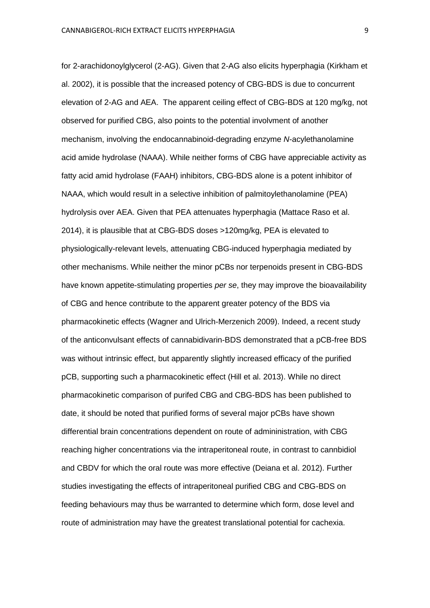for 2-arachidonoylglycerol (2-AG). Given that 2-AG also elicits hyperphagia (Kirkham et al. 2002), it is possible that the increased potency of CBG-BDS is due to concurrent elevation of 2-AG and AEA. The apparent ceiling effect of CBG-BDS at 120 mg/kg, not observed for purified CBG, also points to the potential involvment of another mechanism, involving the endocannabinoid-degrading enzyme *N*-acylethanolamine acid amide hydrolase (NAAA). While neither forms of CBG have appreciable activity as fatty acid amid hydrolase (FAAH) inhibitors, CBG-BDS alone is a potent inhibitor of NAAA, which would result in a selective inhibition of palmitoylethanolamine (PEA) hydrolysis over AEA. Given that PEA attenuates hyperphagia (Mattace Raso et al. 2014), it is plausible that at CBG-BDS doses >120mg/kg, PEA is elevated to physiologically-relevant levels, attenuating CBG-induced hyperphagia mediated by other mechanisms. While neither the minor pCBs nor terpenoids present in CBG-BDS have known appetite-stimulating properties *per se*, they may improve the bioavailability of CBG and hence contribute to the apparent greater potency of the BDS via pharmacokinetic effects (Wagner and Ulrich-Merzenich 2009). Indeed, a recent study of the anticonvulsant effects of cannabidivarin-BDS demonstrated that a pCB-free BDS was without intrinsic effect, but apparently slightly increased efficacy of the purified pCB, supporting such a pharmacokinetic effect (Hill et al. 2013). While no direct pharmacokinetic comparison of purifed CBG and CBG-BDS has been published to date, it should be noted that purified forms of several major pCBs have shown differential brain concentrations dependent on route of admininistration, with CBG reaching higher concentrations via the intraperitoneal route, in contrast to cannbidiol and CBDV for which the oral route was more effective (Deiana et al. 2012). Further studies investigating the effects of intraperitoneal purified CBG and CBG-BDS on feeding behaviours may thus be warranted to determine which form, dose level and route of administration may have the greatest translational potential for cachexia.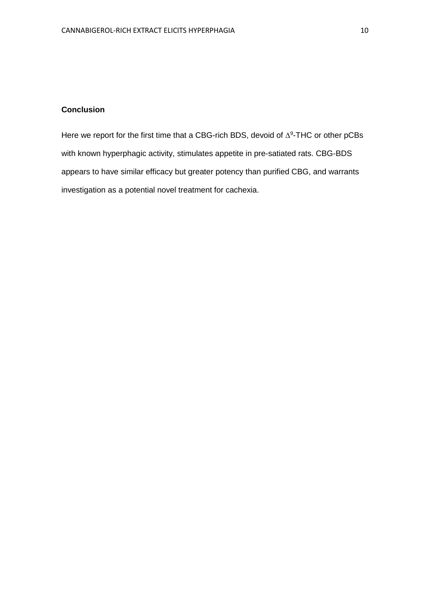### **Conclusion**

Here we report for the first time that a CBG-rich BDS, devoid of  $\Delta^9$ -THC or other pCBs with known hyperphagic activity, stimulates appetite in pre-satiated rats. CBG-BDS appears to have similar efficacy but greater potency than purified CBG, and warrants investigation as a potential novel treatment for cachexia.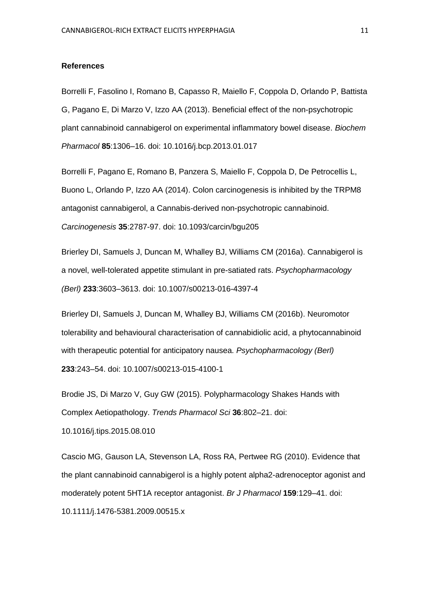#### **References**

Borrelli F, Fasolino I, Romano B, Capasso R, Maiello F, Coppola D, Orlando P, Battista G, Pagano E, Di Marzo V, Izzo AA (2013). Beneficial effect of the non-psychotropic plant cannabinoid cannabigerol on experimental inflammatory bowel disease. *Biochem Pharmacol* **85**:1306–16. doi: 10.1016/j.bcp.2013.01.017

Borrelli F, Pagano E, Romano B, Panzera S, Maiello F, Coppola D, De Petrocellis L, Buono L, Orlando P, Izzo AA (2014). Colon carcinogenesis is inhibited by the TRPM8 antagonist cannabigerol, a Cannabis-derived non-psychotropic cannabinoid. *Carcinogenesis* **35**:2787-97. doi: 10.1093/carcin/bgu205

Brierley DI, Samuels J, Duncan M, Whalley BJ, Williams CM (2016a). Cannabigerol is a novel, well-tolerated appetite stimulant in pre-satiated rats. *Psychopharmacology (Berl)* **233**:3603–3613. doi: 10.1007/s00213-016-4397-4

Brierley DI, Samuels J, Duncan M, Whalley BJ, Williams CM (2016b). Neuromotor tolerability and behavioural characterisation of cannabidiolic acid, a phytocannabinoid with therapeutic potential for anticipatory nausea. *Psychopharmacology (Berl)* **233**:243–54. doi: 10.1007/s00213-015-4100-1

Brodie JS, Di Marzo V, Guy GW (2015). Polypharmacology Shakes Hands with Complex Aetiopathology. *Trends Pharmacol Sci* **36**:802–21. doi:

10.1016/j.tips.2015.08.010

Cascio MG, Gauson LA, Stevenson LA, Ross RA, Pertwee RG (2010). Evidence that the plant cannabinoid cannabigerol is a highly potent alpha2-adrenoceptor agonist and moderately potent 5HT1A receptor antagonist. *Br J Pharmacol* **159**:129–41. doi: 10.1111/j.1476-5381.2009.00515.x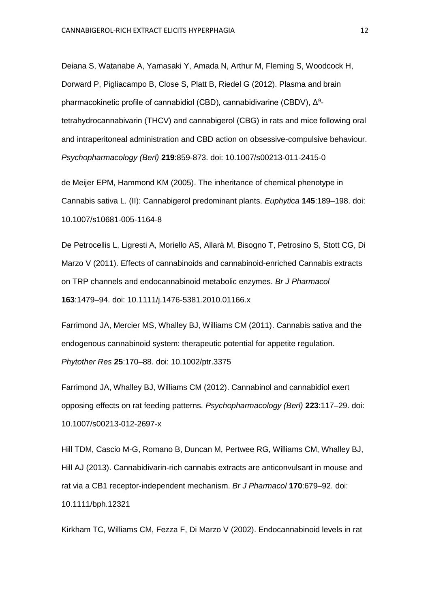Deiana S, Watanabe A, Yamasaki Y, Amada N, Arthur M, Fleming S, Woodcock H, Dorward P, Pigliacampo B, Close S, Platt B, Riedel G (2012). Plasma and brain pharmacokinetic profile of cannabidiol (CBD), cannabidivarine (CBDV),  $Δ<sup>9</sup>$ tetrahydrocannabivarin (THCV) and cannabigerol (CBG) in rats and mice following oral and intraperitoneal administration and CBD action on obsessive-compulsive behaviour. *Psychopharmacology (Berl)* **219**:859-873. doi: 10.1007/s00213-011-2415-0

de Meijer EPM, Hammond KM (2005). The inheritance of chemical phenotype in Cannabis sativa L. (II): Cannabigerol predominant plants. *Euphytica* **145**:189–198. doi: 10.1007/s10681-005-1164-8

De Petrocellis L, Ligresti A, Moriello AS, Allarà M, Bisogno T, Petrosino S, Stott CG, Di Marzo V (2011). Effects of cannabinoids and cannabinoid-enriched Cannabis extracts on TRP channels and endocannabinoid metabolic enzymes. *Br J Pharmacol* **163**:1479–94. doi: 10.1111/j.1476-5381.2010.01166.x

Farrimond JA, Mercier MS, Whalley BJ, Williams CM (2011). Cannabis sativa and the endogenous cannabinoid system: therapeutic potential for appetite regulation. *Phytother Res* **25**:170–88. doi: 10.1002/ptr.3375

Farrimond JA, Whalley BJ, Williams CM (2012). Cannabinol and cannabidiol exert opposing effects on rat feeding patterns. *Psychopharmacology (Berl)* **223**:117–29. doi: 10.1007/s00213-012-2697-x

Hill TDM, Cascio M-G, Romano B, Duncan M, Pertwee RG, Williams CM, Whalley BJ, Hill AJ (2013). Cannabidivarin-rich cannabis extracts are anticonvulsant in mouse and rat via a CB1 receptor-independent mechanism. *Br J Pharmacol* **170**:679–92. doi: 10.1111/bph.12321

Kirkham TC, Williams CM, Fezza F, Di Marzo V (2002). Endocannabinoid levels in rat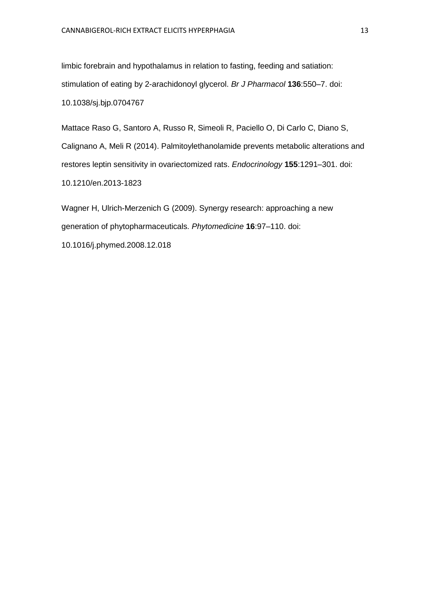limbic forebrain and hypothalamus in relation to fasting, feeding and satiation: stimulation of eating by 2-arachidonoyl glycerol. *Br J Pharmacol* **136**:550–7. doi: 10.1038/sj.bjp.0704767

Mattace Raso G, Santoro A, Russo R, Simeoli R, Paciello O, Di Carlo C, Diano S, Calignano A, Meli R (2014). Palmitoylethanolamide prevents metabolic alterations and restores leptin sensitivity in ovariectomized rats. *Endocrinology* **155**:1291–301. doi: 10.1210/en.2013-1823

Wagner H, Ulrich-Merzenich G (2009). Synergy research: approaching a new generation of phytopharmaceuticals. *Phytomedicine* **16**:97–110. doi: 10.1016/j.phymed.2008.12.018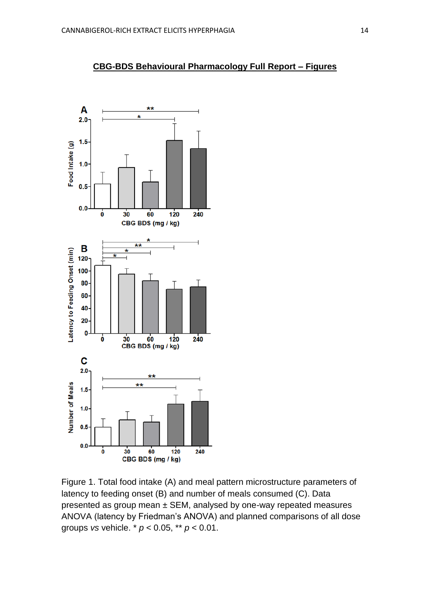

Figure 1. Total food intake (A) and meal pattern microstructure parameters of latency to feeding onset (B) and number of meals consumed (C). Data presented as group mean ± SEM, analysed by one-way repeated measures ANOVA (latency by Friedman's ANOVA) and planned comparisons of all dose groups *vs* vehicle. \* *p* < 0.05, \*\* *p* < 0.01.

## **CBG-BDS Behavioural Pharmacology Full Report – Figures**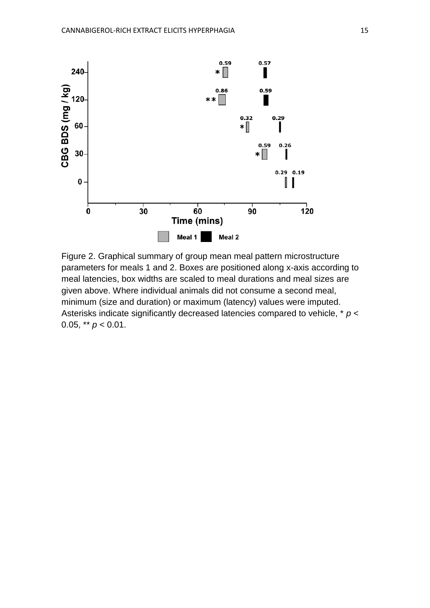

Figure 2. Graphical summary of group mean meal pattern microstructure parameters for meals 1 and 2. Boxes are positioned along x-axis according to meal latencies, box widths are scaled to meal durations and meal sizes are given above. Where individual animals did not consume a second meal, minimum (size and duration) or maximum (latency) values were imputed. Asterisks indicate significantly decreased latencies compared to vehicle, \* *p* < 0.05, \*\* *p* < 0.01.